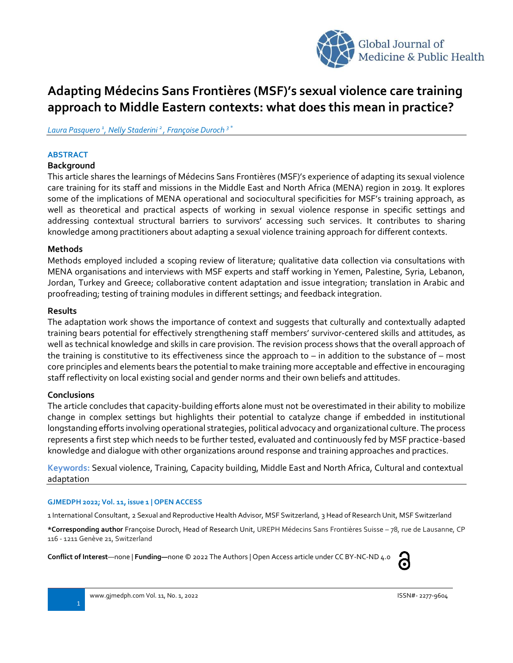

# **Adapting Médecins Sans Frontières (MSF)'s sexual violence care training approach to Middle Eastern contexts: what does this mean in practice?**

*Laura Pasquero <sup>1</sup> , Nelly Staderini <sup>2</sup> , Françoise Duroch <sup>3</sup> \**

#### **ABSTRACT**

#### **Background**

This article shares the learnings of Médecins Sans Frontières (MSF)'s experience of adapting its sexual violence care training for its staff and missions in the Middle East and North Africa (MENA) region in 2019. It explores some of the implications of MENA operational and sociocultural specificities for MSF's training approach, as well as theoretical and practical aspects of working in sexual violence response in specific settings and addressing contextual structural barriers to survivors' accessing such services. It contributes to sharing knowledge among practitioners about adapting a sexual violence training approach for different contexts.

#### **Methods**

Methods employed included a scoping review of literature; qualitative data collection via consultations with MENA organisations and interviews with MSF experts and staff working in Yemen, Palestine, Syria, Lebanon, Jordan, Turkey and Greece; collaborative content adaptation and issue integration; translation in Arabic and proofreading; testing of training modules in different settings; and feedback integration.

#### **Results**

The adaptation work shows the importance of context and suggests that culturally and contextually adapted training bears potential for effectively strengthening staff members' survivor-centered skills and attitudes, as well as technical knowledge and skills in care provision. The revision process shows that the overall approach of the training is constitutive to its effectiveness since the approach to  $-$  in addition to the substance of  $-$  most core principles and elements bears the potential to make training more acceptable and effective in encouraging staff reflectivity on local existing social and gender norms and their own beliefs and attitudes.

#### **Conclusions**

The article concludes that capacity-building efforts alone must not be overestimated in their ability to mobilize change in complex settings but highlights their potential to catalyze change if embedded in institutional longstanding efforts involving operational strategies, political advocacy and organizational culture. The process represents a first step which needs to be further tested, evaluated and continuously fed by MSF practice-based knowledge and dialogue with other organizations around response and training approaches and practices.

**Keywords:** Sexual violence, Training, Capacity building, Middle East and North Africa, Cultural and contextual adaptation

#### **GJMEDPH 2022; Vol. 11, issue 1 | OPEN ACCESS**

1 International Consultant, 2 Sexual and Reproductive Health Advisor, MSF Switzerland, 3 Head of Research Unit, MSF Switzerland

**\*Corresponding author** Françoise Duroch, Head of Research Unit, UREPH Médecins Sans Frontières Suisse – 78, rue de Lausanne, CP 116 - 1211 Genève 21, Switzerland

**Conflict of Interest**—none | **Funding—**none © 2022 The Authors | Open Access article under CC BY-NC-ND 4.0

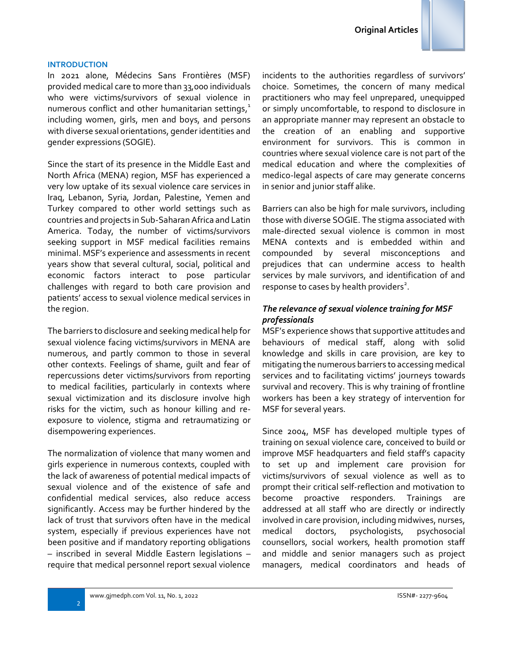#### **INTRODUCTION**

In 2021 alone, Médecins Sans Frontières (MSF) provided medical care to more than 33,000 individuals who were victims/survivors of sexual violence in numerous conflict and other humanitarian settings,<sup>1</sup> including women, girls, men and boys, and persons with diverse sexual orientations, gender identities and gender expressions (SOGIE).

Since the start of its presence in the Middle East and North Africa (MENA) region, MSF has experienced a very low uptake of its sexual violence care services in Iraq, Lebanon, Syria, Jordan, Palestine, Yemen and Turkey compared to other world settings such as countries and projects in Sub-Saharan Africa and Latin America. Today, the number of victims/survivors seeking support in MSF medical facilities remains minimal. MSF's experience and assessments in recent years show that several cultural, social, political and economic factors interact to pose particular challenges with regard to both care provision and patients' access to sexual violence medical services in the region.

The barriers to disclosure and seeking medical help for sexual violence facing victims/survivors in MENA are numerous, and partly common to those in several other contexts. Feelings of shame, guilt and fear of repercussions deter victims/survivors from reporting to medical facilities, particularly in contexts where sexual victimization and its disclosure involve high risks for the victim, such as honour killing and reexposure to violence, stigma and retraumatizing or disempowering experiences.

The normalization of violence that many women and girls experience in numerous contexts, coupled with the lack of awareness of potential medical impacts of sexual violence and of the existence of safe and confidential medical services, also reduce access significantly. Access may be further hindered by the lack of trust that survivors often have in the medical system, especially if previous experiences have not been positive and if mandatory reporting obligations – inscribed in several Middle Eastern legislations – require that medical personnel report sexual violence incidents to the authorities regardless of survivors' choice. Sometimes, the concern of many medical practitioners who may feel unprepared, unequipped or simply uncomfortable, to respond to disclosure in an appropriate manner may represent an obstacle to the creation of an enabling and supportive environment for survivors. This is common in countries where sexual violence care is not part of the medical education and where the complexities of medico-legal aspects of care may generate concerns in senior and junior staff alike.

Barriers can also be high for male survivors, including those with diverse SOGIE. The stigma associated with male-directed sexual violence is common in most MENA contexts and is embedded within and compounded by several misconceptions and prejudices that can undermine access to health services by male survivors, and identification of and response to cases by health providers<sup>2</sup>.

## *The relevance of sexual violence training for MSF professionals*

MSF's experience shows that supportive attitudes and behaviours of medical staff, along with solid knowledge and skills in care provision, are key to mitigating the numerous barriers to accessing medical services and to facilitating victims' journeys towards survival and recovery. This is why training of frontline workers has been a key strategy of intervention for MSF for several years.

Since 2004, MSF has developed multiple types of training on sexual violence care, conceived to build or improve MSF headquarters and field staff's capacity to set up and implement care provision for victims/survivors of sexual violence as well as to prompt their critical self-reflection and motivation to become proactive responders. Trainings are addressed at all staff who are directly or indirectly involved in care provision, including midwives, nurses, medical doctors, psychologists, psychosocial counsellors, social workers, health promotion staff and middle and senior managers such as project managers, medical coordinators and heads of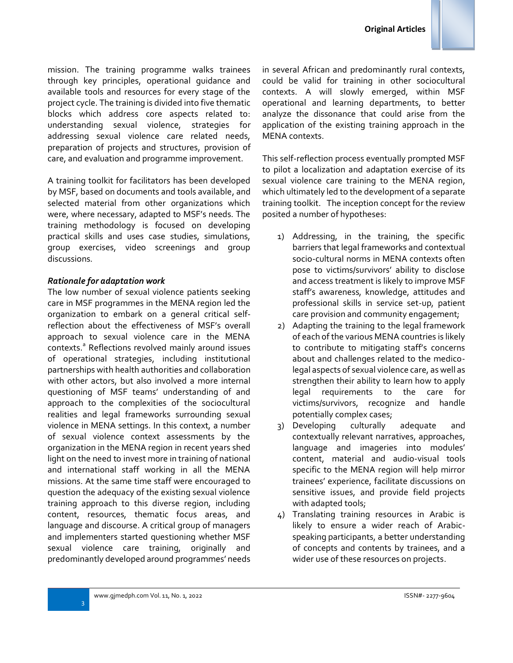

mission. The training programme walks trainees through key principles, operational guidance and available tools and resources for every stage of the project cycle. The training is divided into five thematic blocks which address core aspects related to: understanding sexual violence, strategies for addressing sexual violence care related needs, preparation of projects and structures, provision of care, and evaluation and programme improvement.

A training toolkit for facilitators has been developed by MSF, based on documents and tools available, and selected material from other organizations which were, where necessary, adapted to MSF's needs. The training methodology is focused on developing practical skills and uses case studies, simulations, group exercises, video screenings and group discussions.

## *Rationale for adaptation work*

The low number of sexual violence patients seeking care in MSF programmes in the MENA region led the organization to embark on a general critical selfreflection about the effectiveness of MSF's overall approach to sexual violence care in the MENA contexts.<sup>a</sup> Reflections revolved mainly around issues of operational strategies, including institutional partnerships with health authorities and collaboration with other actors, but also involved a more internal questioning of MSF teams' understanding of and approach to the complexities of the sociocultural realities and legal frameworks surrounding sexual violence in MENA settings. In this context, a number of sexual violence context assessments by the organization in the MENA region in recent years shed light on the need to invest more in training of national and international staff working in all the MENA missions. At the same time staff were encouraged to question the adequacy of the existing sexual violence training approach to this diverse region, including content, resources, thematic focus areas, and language and discourse. A critical group of managers and implementers started questioning whether MSF sexual violence care training, originally and predominantly developed around programmes' needs

in several African and predominantly rural contexts, could be valid for training in other sociocultural contexts. A will slowly emerged, within MSF operational and learning departments, to better analyze the dissonance that could arise from the application of the existing training approach in the MENA contexts.

This self-reflection process eventually prompted MSF to pilot a localization and adaptation exercise of its sexual violence care training to the MENA region, which ultimately led to the development of a separate training toolkit. The inception concept for the review posited a number of hypotheses:

- 1) Addressing, in the training, the specific barriers that legal frameworks and contextual socio-cultural norms in MENA contexts often pose to victims/survivors' ability to disclose and access treatment is likely to improve MSF staff's awareness, knowledge, attitudes and professional skills in service set-up, patient care provision and community engagement;
- 2) Adapting the training to the legal framework of each of the various MENA countries is likely to contribute to mitigating staff's concerns about and challenges related to the medicolegal aspects of sexual violence care, as well as strengthen their ability to learn how to apply legal requirements to the care for victims/survivors, recognize and handle potentially complex cases;
- 3) Developing culturally adequate and contextually relevant narratives, approaches, language and imageries into modules' content, material and audio-visual tools specific to the MENA region will help mirror trainees' experience, facilitate discussions on sensitive issues, and provide field projects with adapted tools;
- 4) Translating training resources in Arabic is likely to ensure a wider reach of Arabicspeaking participants, a better understanding of concepts and contents by trainees, and a wider use of these resources on projects.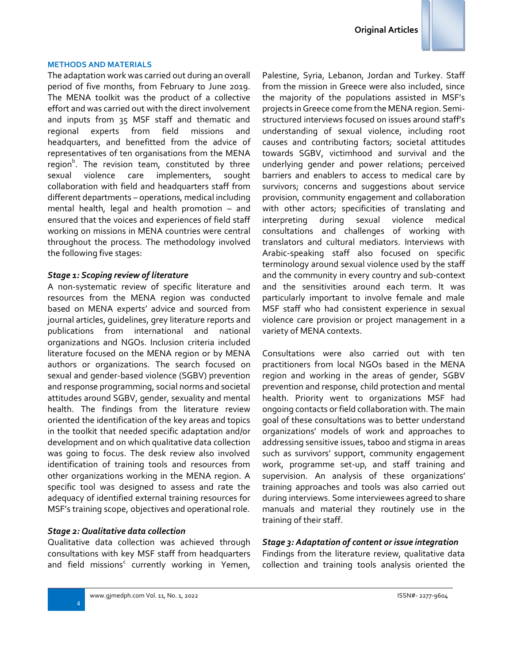#### **METHODS AND MATERIALS**

The adaptation work was carried out during an overall period of five months, from February to June 2019. The MENA toolkit was the product of a collective effort and was carried out with the direct involvement and inputs from 35 MSF staff and thematic and regional experts from field missions and headquarters, and benefitted from the advice of representatives of ten organisations from the MENA region<sup>b</sup>. The revision team, constituted by three sexual violence care implementers, sought collaboration with field and headquarters staff from different departments – operations, medical including mental health, legal and health promotion – and ensured that the voices and experiences of field staff working on missions in MENA countries were central throughout the process. The methodology involved the following five stages:

#### *Stage 1: Scoping review of literature*

A non-systematic review of specific literature and resources from the MENA region was conducted based on MENA experts' advice and sourced from journal articles, guidelines, grey literature reports and publications from international and national organizations and NGOs. Inclusion criteria included literature focused on the MENA region or by MENA authors or organizations. The search focused on sexual and gender-based violence (SGBV) prevention and response programming, social norms and societal attitudes around SGBV, gender, sexuality and mental health. The findings from the literature review oriented the identification of the key areas and topics in the toolkit that needed specific adaptation and/or development and on which qualitative data collection was going to focus. The desk review also involved identification of training tools and resources from other organizations working in the MENA region. A specific tool was designed to assess and rate the adequacy of identified external training resources for MSF's training scope, objectives and operational role.

#### *Stage 2: Qualitative data collection*

4

Qualitative data collection was achieved through consultations with key MSF staff from headquarters and field missions<sup>c</sup> currently working in Yemen, Palestine, Syria, Lebanon, Jordan and Turkey. Staff from the mission in Greece were also included, since the majority of the populations assisted in MSF's projects in Greece come from the MENA region. Semistructured interviews focused on issues around staff's understanding of sexual violence, including root causes and contributing factors; societal attitudes towards SGBV, victimhood and survival and the underlying gender and power relations; perceived barriers and enablers to access to medical care by survivors; concerns and suggestions about service provision, community engagement and collaboration with other actors; specificities of translating and interpreting during sexual violence medical consultations and challenges of working with translators and cultural mediators. Interviews with Arabic-speaking staff also focused on specific terminology around sexual violence used by the staff and the community in every country and sub-context and the sensitivities around each term. It was particularly important to involve female and male MSF staff who had consistent experience in sexual violence care provision or project management in a variety of MENA contexts.

Consultations were also carried out with ten practitioners from local NGOs based in the MENA region and working in the areas of gender, SGBV prevention and response, child protection and mental health. Priority went to organizations MSF had ongoing contacts or field collaboration with. The main goal of these consultations was to better understand organizations' models of work and approaches to addressing sensitive issues, taboo and stigma in areas such as survivors' support, community engagement work, programme set-up, and staff training and supervision. An analysis of these organizations' training approaches and tools was also carried out during interviews. Some interviewees agreed to share manuals and material they routinely use in the training of their staff.

#### *Stage 3: Adaptation of content or issue integration*

Findings from the literature review, qualitative data collection and training tools analysis oriented the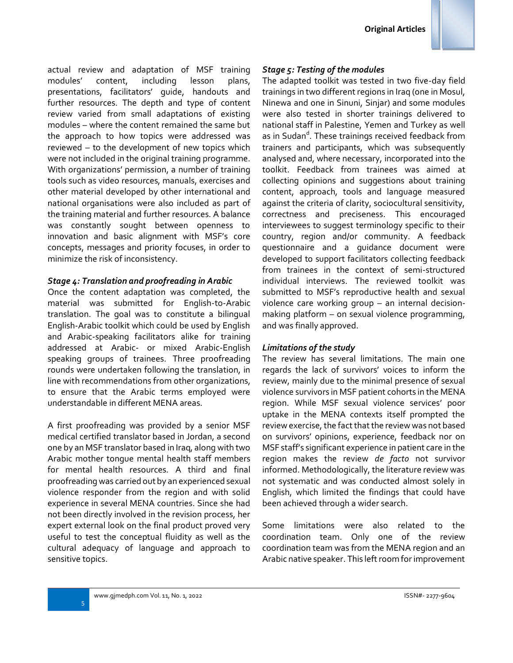actual review and adaptation of MSF training modules' content, including lesson plans, presentations, facilitators' guide, handouts and further resources. The depth and type of content review varied from small adaptations of existing modules – where the content remained the same but the approach to how topics were addressed was reviewed – to the development of new topics which were not included in the original training programme. With organizations' permission, a number of training tools such as video resources, manuals, exercises and other material developed by other international and national organisations were also included as part of the training material and further resources. A balance was constantly sought between openness to innovation and basic alignment with MSF's core concepts, messages and priority focuses, in order to minimize the risk of inconsistency.

#### *Stage 4: Translation and proofreading in Arabic*

Once the content adaptation was completed, the material was submitted for English-to-Arabic translation. The goal was to constitute a bilingual English-Arabic toolkit which could be used by English and Arabic-speaking facilitators alike for training addressed at Arabic- or mixed Arabic-English speaking groups of trainees. Three proofreading rounds were undertaken following the translation, in line with recommendations from other organizations, to ensure that the Arabic terms employed were understandable in different MENA areas.

A first proofreading was provided by a senior MSF medical certified translator based in Jordan, a second one by an MSF translator based in Iraq, along with two Arabic mother tongue mental health staff members for mental health resources. A third and final proofreading was carried out by an experienced sexual violence responder from the region and with solid experience in several MENA countries. Since she had not been directly involved in the revision process, her expert external look on the final product proved very useful to test the conceptual fluidity as well as the cultural adequacy of language and approach to sensitive topics.

#### *Stage 5: Testing of the modules*

The adapted toolkit was tested in two five-day field trainings in two different regions in Iraq (one in Mosul, Ninewa and one in Sinuni, Sinjar) and some modules were also tested in shorter trainings delivered to national staff in Palestine, Yemen and Turkey as well as in Sudan<sup>d</sup>. These trainings received feedback from trainers and participants, which was subsequently analysed and, where necessary, incorporated into the toolkit. Feedback from trainees was aimed at collecting opinions and suggestions about training content, approach, tools and language measured against the criteria of clarity, sociocultural sensitivity, correctness and preciseness. This encouraged interviewees to suggest terminology specific to their country, region and/or community. A feedback questionnaire and a guidance document were developed to support facilitators collecting feedback from trainees in the context of semi-structured individual interviews. The reviewed toolkit was submitted to MSF's reproductive health and sexual violence care working group – an internal decisionmaking platform – on sexual violence programming, and was finally approved.

#### *Limitations of the study*

The review has several limitations. The main one regards the lack of survivors' voices to inform the review, mainly due to the minimal presence of sexual violence survivors in MSF patient cohorts in the MENA region. While MSF sexual violence services' poor uptake in the MENA contexts itself prompted the review exercise, the fact that the review was not based on survivors' opinions, experience, feedback nor on MSF staff's significant experience in patient care in the region makes the review *de facto* not survivor informed. Methodologically, the literature review was not systematic and was conducted almost solely in English, which limited the findings that could have been achieved through a wider search.

Some limitations were also related to the coordination team. Only one of the review coordination team was from the MENA region and an Arabic native speaker. This left room for improvement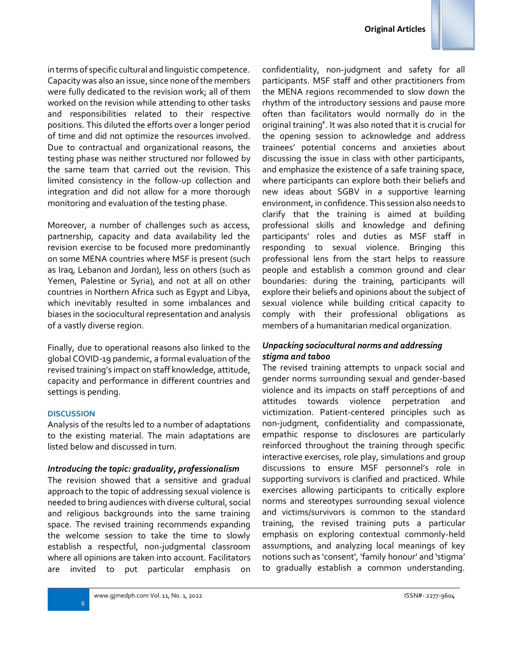

in terms of specific cultural and linguistic competence. Capacity was also an issue, since none of the members were fully dedicated to the revision work; all of them worked on the revision while attending to other tasks and responsibilities related to their respective positions. This diluted the efforts over a longer period of time and did not optimize the resources involved. Due to contractual and organizational reasons, the testing phase was neither structured nor followed by the same team that carried out the revision. This limited consistency in the follow-up collection and integration and did not allow for a more thorough monitoring and evaluation of the testing phase.

Moreover, a number of challenges such as access, partnership, capacity and data availability led the revision exercise to be focused more predominantly on some MENA countries where MSF is present (such as Iraq, Lebanon and Jordan), less on others (such as Yemen, Palestine or Syria), and not at all on other countries in Northern Africa such as Egypt and Libya, which inevitably resulted in some imbalances and biases in the sociocultural representation and analysis of a vastly diverse region.

Finally, due to operational reasons also linked to the global COVID-19 pandemic, a formal evaluation of the revised training's impact on staff knowledge, attitude, capacity and performance in different countries and settings is pending.

## **DISCUSSION**

Analysis of the results led to a number of adaptations to the existing material. The main adaptations are listed below and discussed in turn.

## *Introducing the topic: graduality, professionalism*

The revision showed that a sensitive and gradual approach to the topic of addressing sexual violence is needed to bring audiences with diverse cultural, social and religious backgrounds into the same training space. The revised training recommends expanding the welcome session to take the time to slowly establish a respectful, non-judgmental classroom where all opinions are taken into account. Facilitators are invited to put particular emphasis on confidentiality, non-judgment and safety for all participants. MSF staff and other practitioners from the MENA regions recommended to slow down the rhythm of the introductory sessions and pause more often than facilitators would normally do in the original training<sup>e</sup>. It was also noted that it is crucial for the opening session to acknowledge and address trainees' potential concerns and anxieties about discussing the issue in class with other participants, and emphasize the existence of a safe training space, where participants can explore both their beliefs and new ideas about SGBV in a supportive learning environment, in confidence. This session also needs to clarify that the training is aimed at building professional skills and knowledge and defining participants' roles and duties as MSF staff in responding to sexual violence. Bringing this professional lens from the start helps to reassure people and establish a common ground and clear boundaries: during the training, participants will explore their beliefs and opinions about the subject of sexual violence while building critical capacity to comply with their professional obligations as members of a humanitarian medical organization.

## *Unpacking sociocultural norms and addressing stigma and taboo*

The revised training attempts to unpack social and gender norms surrounding sexual and gender-based violence and its impacts on staff perceptions of and attitudes towards violence perpetration and victimization. Patient-centered principles such as non-judgment, confidentiality and compassionate, empathic response to disclosures are particularly reinforced throughout the training through specific interactive exercises, role play, simulations and group discussions to ensure MSF personnel's role in supporting survivors is clarified and practiced. While exercises allowing participants to critically explore norms and stereotypes surrounding sexual violence and victims/survivors is common to the standard training, the revised training puts a particular emphasis on exploring contextual commonly-held assumptions, and analyzing local meanings of key notions such as 'consent', 'family honour' and 'stigma' to gradually establish a common understanding.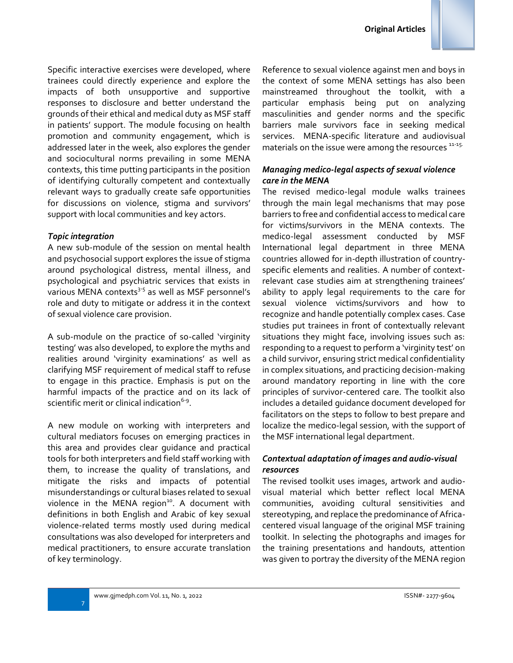

#### *Topic integration*

A new sub-module of the session on mental health and psychosocial support explores the issue of stigma around psychological distress, mental illness, and psychological and psychiatric services that exists in various MENA contexts<sup>3-5</sup> as well as MSF personnel's role and duty to mitigate or address it in the context of sexual violence care provision.

A sub-module on the practice of so-called 'virginity testing' was also developed, to explore the myths and realities around 'virginity examinations' as well as clarifying MSF requirement of medical staff to refuse to engage in this practice. Emphasis is put on the harmful impacts of the practice and on its lack of scientific merit or clinical indication $6 - 9$ .

A new module on working with interpreters and cultural mediators focuses on emerging practices in this area and provides clear guidance and practical tools for both interpreters and field staff working with them, to increase the quality of translations, and mitigate the risks and impacts of potential misunderstandings or cultural biases related to sexual violence in the MENA region<sup>10</sup>. A document with definitions in both English and Arabic of key sexual violence-related terms mostly used during medical consultations was also developed for interpreters and medical practitioners, to ensure accurate translation of key terminology.

Reference to sexual violence against men and boys in the context of some MENA settings has also been mainstreamed throughout the toolkit, with a particular emphasis being put on analyzing masculinities and gender norms and the specific barriers male survivors face in seeking medical services. MENA-specific literature and audiovisual materials on the issue were among the resources  $11-15$ .

### *Managing medico-legal aspects of sexual violence care in the MENA*

The revised medico-legal module walks trainees through the main legal mechanisms that may pose barriers to free and confidential access to medical care for victims/survivors in the MENA contexts. The medico-legal assessment conducted by MSF International legal department in three MENA countries allowed for in-depth illustration of countryspecific elements and realities. A number of contextrelevant case studies aim at strengthening trainees' ability to apply legal requirements to the care for sexual violence victims/survivors and how to recognize and handle potentially complex cases. Case studies put trainees in front of contextually relevant situations they might face, involving issues such as: responding to a request to perform a 'virginity test' on a child survivor, ensuring strict medical confidentiality in complex situations, and practicing decision-making around mandatory reporting in line with the core principles of survivor-centered care. The toolkit also includes a detailed guidance document developed for facilitators on the steps to follow to best prepare and localize the medico-legal session, with the support of the MSF international legal department.

## *Contextual adaptation of images and audio-visual resources*

The revised toolkit uses images, artwork and audiovisual material which better reflect local MENA communities, avoiding cultural sensitivities and stereotyping, and replace the predominance of Africacentered visual language of the original MSF training toolkit. In selecting the photographs and images for the training presentations and handouts, attention was given to portray the diversity of the MENA region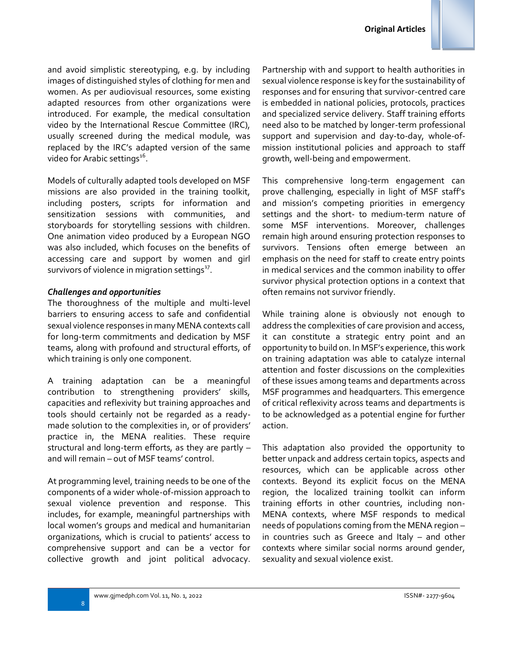and avoid simplistic stereotyping, e.g. by including images of distinguished styles of clothing for men and women. As per audiovisual resources, some existing adapted resources from other organizations were introduced. For example, the medical consultation video by the International Rescue Committee (IRC), usually screened during the medical module, was replaced by the IRC's adapted version of the same video for Arabic settings $^{16}$ .

Models of culturally adapted tools developed on MSF missions are also provided in the training toolkit, including posters, scripts for information and sensitization sessions with communities, and storyboards for storytelling sessions with children. One animation video produced by a European NGO was also included, which focuses on the benefits of accessing care and support by women and girl survivors of violence in migration settings $^{17}$ .

#### *Challenges and opportunities*

The thoroughness of the multiple and multi-level barriers to ensuring access to safe and confidential sexual violence responses in many MENA contexts call for long-term commitments and dedication by MSF teams, along with profound and structural efforts, of which training is only one component.

A training adaptation can be a meaningful contribution to strengthening providers' skills, capacities and reflexivity but training approaches and tools should certainly not be regarded as a readymade solution to the complexities in, or of providers' practice in, the MENA realities. These require structural and long-term efforts, as they are partly – and will remain – out of MSF teams' control.

At programming level, training needs to be one of the components of a wider whole-of-mission approach to sexual violence prevention and response. This includes, for example, meaningful partnerships with local women's groups and medical and humanitarian organizations, which is crucial to patients' access to comprehensive support and can be a vector for collective growth and joint political advocacy. Partnership with and support to health authorities in sexual violence response is key for the sustainability of responses and for ensuring that survivor-centred care is embedded in national policies, protocols, practices and specialized service delivery. Staff training efforts need also to be matched by longer-term professional support and supervision and day-to-day, whole-ofmission institutional policies and approach to staff growth, well-being and empowerment.

This comprehensive long-term engagement can prove challenging, especially in light of MSF staff's and mission's competing priorities in emergency settings and the short- to medium-term nature of some MSF interventions. Moreover, challenges remain high around ensuring protection responses to survivors. Tensions often emerge between an emphasis on the need for staff to create entry points in medical services and the common inability to offer survivor physical protection options in a context that often remains not survivor friendly.

While training alone is obviously not enough to address the complexities of care provision and access, it can constitute a strategic entry point and an opportunity to build on. In MSF's experience, this work on training adaptation was able to catalyze internal attention and foster discussions on the complexities of these issues among teams and departments across MSF programmes and headquarters. This emergence of critical reflexivity across teams and departments is to be acknowledged as a potential engine for further action.

This adaptation also provided the opportunity to better unpack and address certain topics, aspects and resources, which can be applicable across other contexts. Beyond its explicit focus on the MENA region, the localized training toolkit can inform training efforts in other countries, including non-MENA contexts, where MSF responds to medical needs of populations coming from the MENA region – in countries such as Greece and Italy – and other contexts where similar social norms around gender, sexuality and sexual violence exist.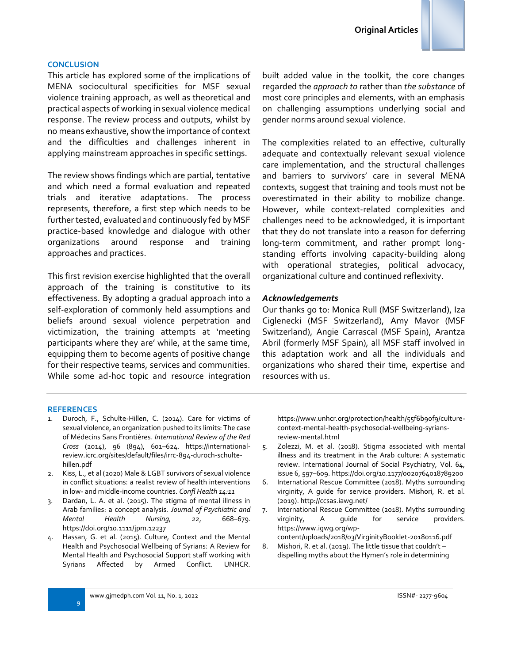#### **CONCLUSION**

This article has explored some of the implications of MENA sociocultural specificities for MSF sexual violence training approach, as well as theoretical and practical aspects of working in sexual violence medical response. The review process and outputs, whilst by no means exhaustive, show the importance of context and the difficulties and challenges inherent in applying mainstream approaches in specific settings.

The review shows findings which are partial, tentative and which need a formal evaluation and repeated trials and iterative adaptations. The process represents, therefore, a first step which needs to be further tested, evaluated and continuously fed by MSF practice-based knowledge and dialogue with other organizations around response and training approaches and practices.

This first revision exercise highlighted that the overall approach of the training is constitutive to its effectiveness. By adopting a gradual approach into a self-exploration of commonly held assumptions and beliefs around sexual violence perpetration and victimization, the training attempts at 'meeting participants where they are' while, at the same time, equipping them to become agents of positive change for their respective teams, services and communities. While some ad-hoc topic and resource integration

built added value in the toolkit, the core changes regarded the *approach to* rather than *the substance* of most core principles and elements, with an emphasis on challenging assumptions underlying social and gender norms around sexual violence.

The complexities related to an effective, culturally adequate and contextually relevant sexual violence care implementation, and the structural challenges and barriers to survivors' care in several MENA contexts, suggest that training and tools must not be overestimated in their ability to mobilize change. However, while context-related complexities and challenges need to be acknowledged, it is important that they do not translate into a reason for deferring long-term commitment, and rather prompt longstanding efforts involving capacity-building along with operational strategies, political advocacy, organizational culture and continued reflexivity.

#### *Acknowledgements*

Our thanks go to: Monica Rull (MSF Switzerland), Iza Ciglenecki (MSF Switzerland), Amy Mavor (MSF Switzerland), Angie Carrascal (MSF Spain), Arantza Abril (formerly MSF Spain), all MSF staff involved in this adaptation work and all the individuals and organizations who shared their time, expertise and resources with us.

#### **REFERENCES**

- 1. Duroch, F., Schulte-Hillen, C. (2014). Care for victims of sexual violence, an organization pushed to its limits: The case of Médecins Sans Frontières. *International Review of the Red Cross* (2014), 96 (894), 601–624. [https://international](https://international-review.icrc.org/sites/default/files/irrc-894-duroch-schulte-hillen.pdf)[review.icrc.org/sites/default/files/irrc-894-duroch-schulte](https://international-review.icrc.org/sites/default/files/irrc-894-duroch-schulte-hillen.pdf)[hillen.pdf](https://international-review.icrc.org/sites/default/files/irrc-894-duroch-schulte-hillen.pdf)
- 2. Kiss, L., et al (2020) Male & LGBT survivors of sexual violence in conflict situations: a realist review of health interventions in low- and middle-income countries. *Confl Health 14:11*
- 3. Dardan, L. A. et al. (2015). The stigma of mental illness in Arab families: a concept analysis*. Journal of Psychiatric and Mental Health Nursing, 22*, 668–679. <https://doi.org/10.1111/jpm.12237>
- 4. Hassan, G. et al. (2015). Culture, Context and the Mental Health and Psychosocial Wellbeing of Syrians: A Review for Mental Health and Psychosocial Support staff working with Syrians Affected by Armed Conflict. UNHCR.

[https://www.unhcr.org/protection/health/55f6b90f9/culture](https://www.unhcr.org/protection/health/55f6b90f9/culture-context-mental-health-psychosocial-wellbeing-syrians-review-mental.html)[context-mental-health-psychosocial-wellbeing-syrians](https://www.unhcr.org/protection/health/55f6b90f9/culture-context-mental-health-psychosocial-wellbeing-syrians-review-mental.html)[review-mental.html](https://www.unhcr.org/protection/health/55f6b90f9/culture-context-mental-health-psychosocial-wellbeing-syrians-review-mental.html) 

- 5. Zolezzi, M. et al. (2018). Stigma associated with mental illness and its treatment in the Arab culture: A systematic review. International Journal of Social Psychiatry, Vol. 64, issue 6, 597–609[. https://doi.org/10.1177/0020764018789200](https://doi.org/10.1177/0020764018789200)
- 6. International Rescue Committee (2018). Myths surrounding virginity, A guide for service providers. Mishori, R. et al. (2019)[. http://ccsas.iawg.net/](http://ccsas.iawg.net/)
- 7. International Rescue Committee (2018). Myths surrounding virginity, A guide for service providers. [https://www.igwg.org/wp-](https://www.igwg.org/wp-content/uploads/2018/03/VirginityBooklet-20180116.pdf)
- [content/uploads/2018/03/VirginityBooklet-20180116.pdf](https://www.igwg.org/wp-content/uploads/2018/03/VirginityBooklet-20180116.pdf) 8. Mishori, R. et al. (2019). The little tissue that couldn't – dispelling myths about the Hymen's role in determining